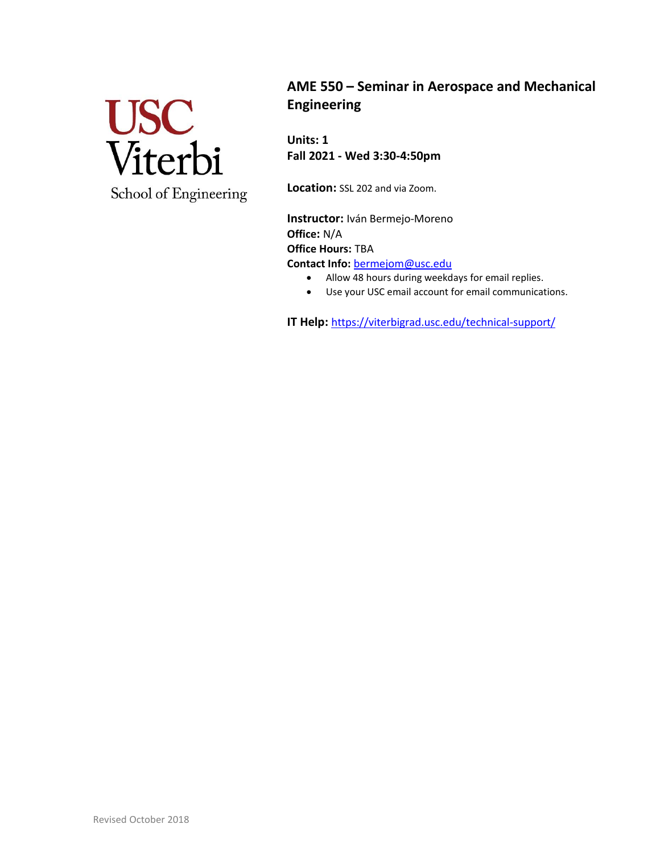

**AME 550 – Seminar in Aerospace and Mechanical Engineering**

**Units: 1 Fall 2021 - Wed 3:30-4:50pm**

**Location:** SSL 202 and via Zoom.

**Instructor:** Iván Bermejo-Moreno **Office:** N/A **Office Hours:** TBA **Contact Info:** [bermejom@usc.edu](mailto:bermejom@usc.edu)

- Allow 48 hours during weekdays for email replies.
- Use your USC email account for email communications.

**IT Help:** <https://viterbigrad.usc.edu/technical-support/>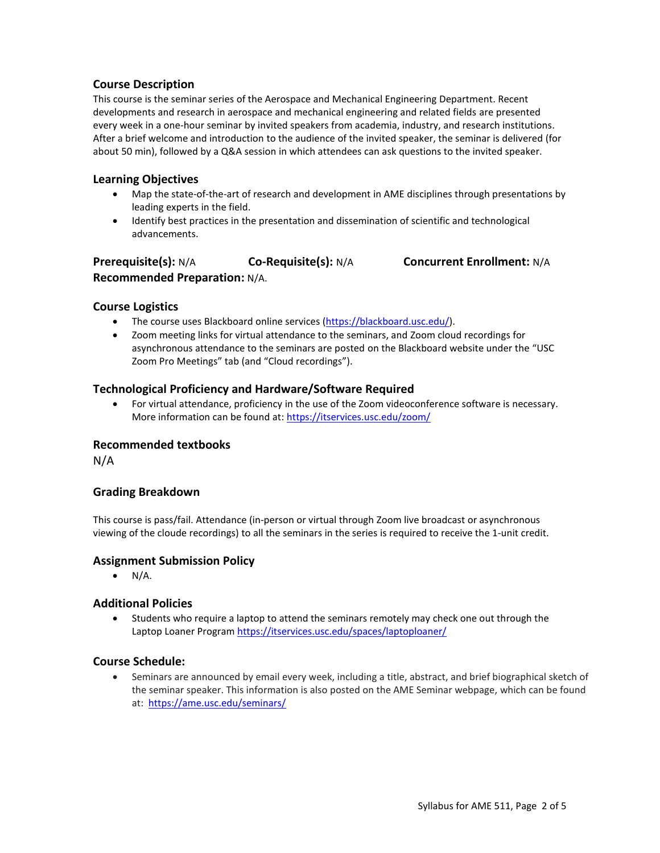## **Course Description**

This course is the seminar series of the Aerospace and Mechanical Engineering Department. Recent developments and research in aerospace and mechanical engineering and related fields are presented every week in a one-hour seminar by invited speakers from academia, industry, and research institutions. After a brief welcome and introduction to the audience of the invited speaker, the seminar is delivered (for about 50 min), followed by a Q&A session in which attendees can ask questions to the invited speaker.

#### **Learning Objectives**

- Map the state-of-the-art of research and development in AME disciplines through presentations by leading experts in the field.
- Identify best practices in the presentation and dissemination of scientific and technological advancements.

## **Prerequisite(s):** N/A **Co-Requisite(s):** N/A **Concurrent Enrollment:** N/A **Recommended Preparation:** N/A.

### **Course Logistics**

- The course uses Blackboard online services [\(https://blackboard.usc.edu/\)](https://blackboard.usc.edu/).
- Zoom meeting links for virtual attendance to the seminars, and Zoom cloud recordings for asynchronous attendance to the seminars are posted on the Blackboard website under the "USC Zoom Pro Meetings" tab (and "Cloud recordings").

### **Technological Proficiency and Hardware/Software Required**

• For virtual attendance, proficiency in the use of the Zoom videoconference software is necessary. More information can be found at:<https://itservices.usc.edu/zoom/>

### **Recommended textbooks**

N/A

## **Grading Breakdown**

This course is pass/fail. Attendance (in-person or virtual through Zoom live broadcast or asynchronous viewing of the cloude recordings) to all the seminars in the series is required to receive the 1-unit credit.

#### **Assignment Submission Policy**

 $\bullet$  N/A.

## **Additional Policies**

• Students who require a laptop to attend the seminars remotely may check one out through the Laptop Loaner Program<https://itservices.usc.edu/spaces/laptoploaner/>

#### **Course Schedule:**

• Seminars are announced by email every week, including a title, abstract, and brief biographical sketch of the seminar speaker. This information is also posted on the AME Seminar webpage, which can be found at:<https://ame.usc.edu/seminars/>